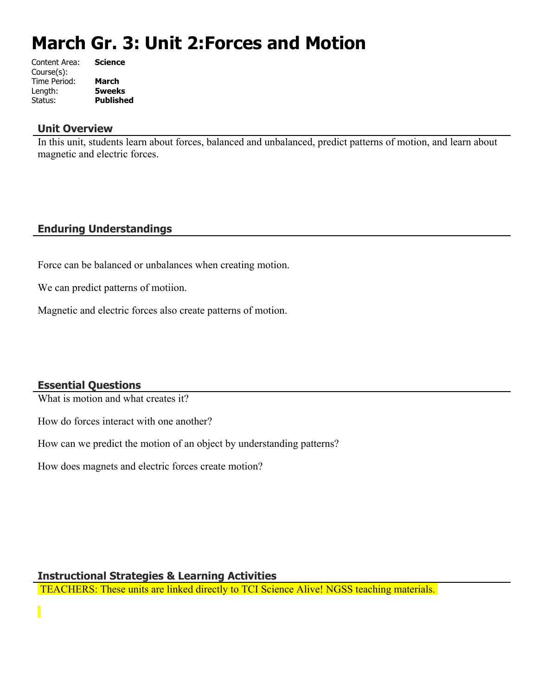# **March Gr. 3: Unit 2:Forces and Motion**

| Content Area: | <b>Science</b>   |
|---------------|------------------|
| Course(s):    |                  |
| Time Period:  | <b>March</b>     |
| Length:       | <b>5weeks</b>    |
| Status:       | <b>Published</b> |
|               |                  |

### **Unit Overview**

In this unit, students learn about forces, balanced and unbalanced, predict patterns of motion, and learn about magnetic and electric forces.

# **Enduring Understandings**

Force can be balanced or unbalances when creating motion.

We can predict patterns of motiion.

Magnetic and electric forces also create patterns of motion.

# **Essential Questions**

What is motion and what creates it?

How do forces interact with one another?

How can we predict the motion of an object by understanding patterns?

How does magnets and electric forces create motion?

### **Instructional Strategies & Learning Activities**

TEACHERS: These units are linked directly to TCI Science Alive! NGSS teaching materials.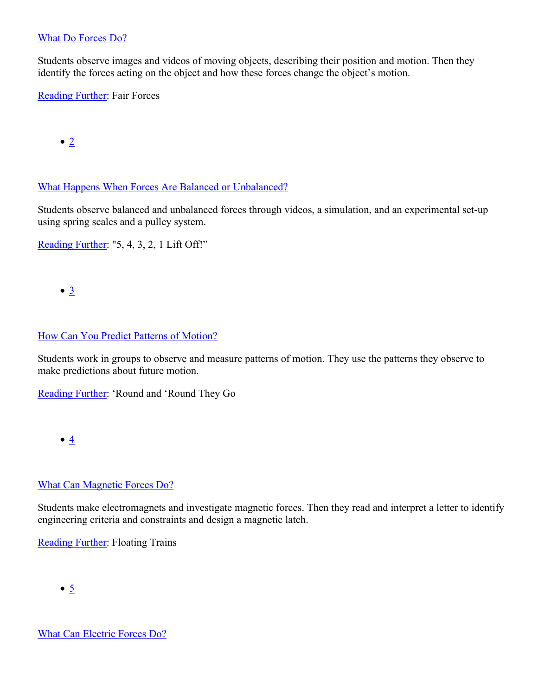### [What Do Forces Do?](https://subscriptions.teachtci.com/shared/programs/154/lessons/1489/slide_shows)

Students observe images and videos of moving objects, describing their position and motion. Then they identify the forces acting on the object and how these forces change the object's motion.

[Reading Further](https://subscriptions.teachtci.com/shared/sections/11271?program_id=154&student_view=true): Fair Forces

 $\bullet$  [2](https://subscriptions.teachtci.com/shared/programs/154/lessons/1490/slide_shows)

[What Happens When Forces Are Balanced or Unbalanced?](https://subscriptions.teachtci.com/shared/programs/154/lessons/1490/slide_shows)

Students observe balanced and unbalanced forces through videos, a simulation, and an experimental set-up using spring scales and a pulley system.

[Reading Further](https://subscriptions.teachtci.com/shared/sections/11304?program_id=154&student_view=true): "5, 4, 3, 2, 1 Lift Off!"

 $\bullet$   $\underline{3}$  $\underline{3}$  $\underline{3}$ 

# [How Can You Predict Patterns of Motion?](https://subscriptions.teachtci.com/shared/programs/154/lessons/1491/slide_shows)

Students work in groups to observe and measure patterns of motion. They use the patterns they observe to make predictions about future motion.

[Reading Further](https://subscriptions.teachtci.com/shared/sections/11331?program_id=154&student_view=true): 'Round and 'Round They Go

 $\bullet$   $4$ 

# [What Can Magnetic Forces Do?](https://subscriptions.teachtci.com/shared/programs/154/lessons/1493/slide_shows)

Students make electromagnets and investigate magnetic forces. Then they read and interpret a letter to identify engineering criteria and constraints and design a magnetic latch.

[Reading Further](https://subscriptions.teachtci.com/shared/sections/11360?program_id=154&student_view=true): Floating Trains

 $\bullet$   $\overline{5}$  $\overline{5}$  $\overline{5}$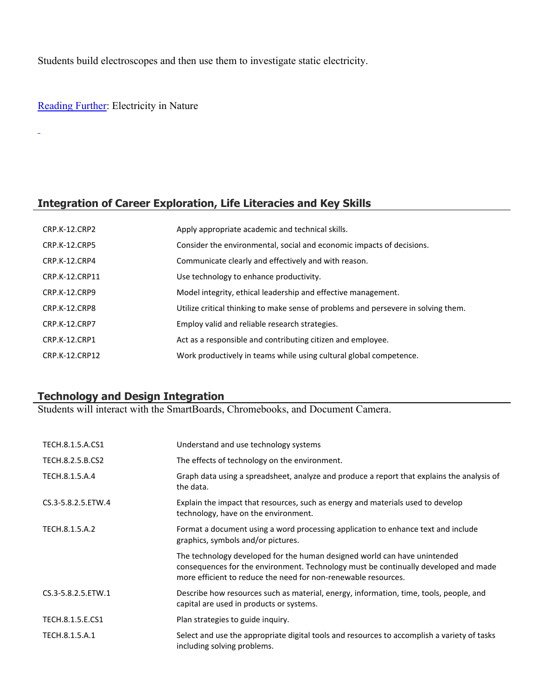Students build electroscopes and then use them to investigate static electricity.

# [Reading Further](https://subscriptions.teachtci.com/shared/sections/11380?program_id=154&student_view=true): Electricity in Nature

L,

### **Integration of Career Exploration, Life Literacies and Key Skills**

| <b>CRP.K-12.CRP2</b> | Apply appropriate academic and technical skills.                                   |
|----------------------|------------------------------------------------------------------------------------|
| CRP.K-12.CRP5        | Consider the environmental, social and economic impacts of decisions.              |
| CRP.K-12.CRP4        | Communicate clearly and effectively and with reason.                               |
| CRP.K-12.CRP11       | Use technology to enhance productivity.                                            |
| CRP.K-12.CRP9        | Model integrity, ethical leadership and effective management.                      |
| CRP.K-12.CRP8        | Utilize critical thinking to make sense of problems and persevere in solving them. |
| <b>CRP.K-12.CRP7</b> | Employ valid and reliable research strategies.                                     |
| CRP.K-12.CRP1        | Act as a responsible and contributing citizen and employee.                        |
| CRP.K-12.CRP12       | Work productively in teams while using cultural global competence.                 |

### **Technology and Design Integration**

Students will interact with the SmartBoards, Chromebooks, and Document Camera.

| TECH.8.1.5.A.CS1   | Understand and use technology systems                                                                                                                                                                                              |
|--------------------|------------------------------------------------------------------------------------------------------------------------------------------------------------------------------------------------------------------------------------|
| TECH.8.2.5.B.CS2   | The effects of technology on the environment.                                                                                                                                                                                      |
| TECH.8.1.5.A.4     | Graph data using a spreadsheet, analyze and produce a report that explains the analysis of<br>the data.                                                                                                                            |
| CS.3-5.8.2.5.ETW.4 | Explain the impact that resources, such as energy and materials used to develop<br>technology, have on the environment.                                                                                                            |
| TECH.8.1.5.A.2     | Format a document using a word processing application to enhance text and include<br>graphics, symbols and/or pictures.                                                                                                            |
|                    | The technology developed for the human designed world can have unintended<br>consequences for the environment. Technology must be continually developed and made<br>more efficient to reduce the need for non-renewable resources. |
| CS.3-5.8.2.5.ETW.1 | Describe how resources such as material, energy, information, time, tools, people, and<br>capital are used in products or systems.                                                                                                 |
| TECH.8.1.5.E.CS1   | Plan strategies to guide inquiry.                                                                                                                                                                                                  |
| TECH.8.1.5.A.1     | Select and use the appropriate digital tools and resources to accomplish a variety of tasks<br>including solving problems.                                                                                                         |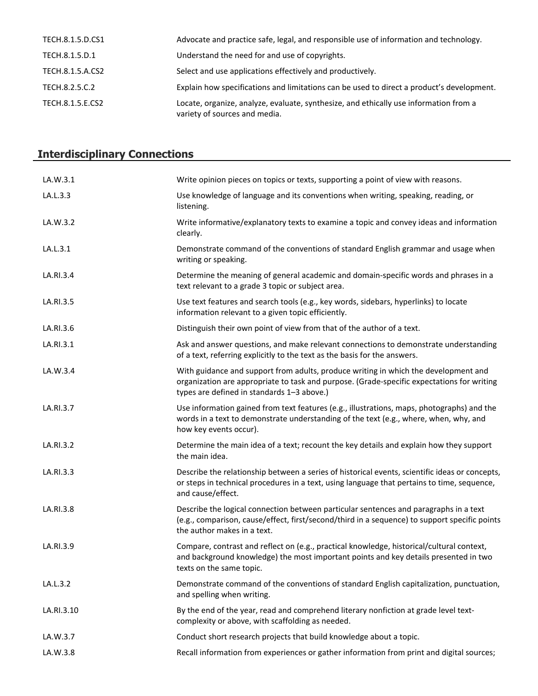| TECH.8.1.5.D.CS1 | Advocate and practice safe, legal, and responsible use of information and technology.                                  |
|------------------|------------------------------------------------------------------------------------------------------------------------|
| TECH.8.1.5.D.1   | Understand the need for and use of copyrights.                                                                         |
| TECH.8.1.5.A.CS2 | Select and use applications effectively and productively.                                                              |
| TECH.8.2.5.C.2   | Explain how specifications and limitations can be used to direct a product's development.                              |
| TECH.8.1.5.E.CS2 | Locate, organize, analyze, evaluate, synthesize, and ethically use information from a<br>variety of sources and media. |

# **Interdisciplinary Connections**

| LA.W.3.1   | Write opinion pieces on topics or texts, supporting a point of view with reasons.                                                                                                                                               |
|------------|---------------------------------------------------------------------------------------------------------------------------------------------------------------------------------------------------------------------------------|
| LA.L.3.3   | Use knowledge of language and its conventions when writing, speaking, reading, or<br>listening.                                                                                                                                 |
| LA.W.3.2   | Write informative/explanatory texts to examine a topic and convey ideas and information<br>clearly.                                                                                                                             |
| LA.L.3.1   | Demonstrate command of the conventions of standard English grammar and usage when<br>writing or speaking.                                                                                                                       |
| LA.RI.3.4  | Determine the meaning of general academic and domain-specific words and phrases in a<br>text relevant to a grade 3 topic or subject area.                                                                                       |
| LA.RI.3.5  | Use text features and search tools (e.g., key words, sidebars, hyperlinks) to locate<br>information relevant to a given topic efficiently.                                                                                      |
| LA.RI.3.6  | Distinguish their own point of view from that of the author of a text.                                                                                                                                                          |
| LA.RI.3.1  | Ask and answer questions, and make relevant connections to demonstrate understanding<br>of a text, referring explicitly to the text as the basis for the answers.                                                               |
| LA.W.3.4   | With guidance and support from adults, produce writing in which the development and<br>organization are appropriate to task and purpose. (Grade-specific expectations for writing<br>types are defined in standards 1-3 above.) |
| LA.RI.3.7  | Use information gained from text features (e.g., illustrations, maps, photographs) and the<br>words in a text to demonstrate understanding of the text (e.g., where, when, why, and<br>how key events occur).                   |
| LA.RI.3.2  | Determine the main idea of a text; recount the key details and explain how they support<br>the main idea.                                                                                                                       |
| LA.RI.3.3  | Describe the relationship between a series of historical events, scientific ideas or concepts,<br>or steps in technical procedures in a text, using language that pertains to time, sequence,<br>and cause/effect.              |
| LA.RI.3.8  | Describe the logical connection between particular sentences and paragraphs in a text<br>(e.g., comparison, cause/effect, first/second/third in a sequence) to support specific points<br>the author makes in a text.           |
| LA.RI.3.9  | Compare, contrast and reflect on (e.g., practical knowledge, historical/cultural context,<br>and background knowledge) the most important points and key details presented in two<br>texts on the same topic.                   |
| LA.L.3.2   | Demonstrate command of the conventions of standard English capitalization, punctuation,<br>and spelling when writing.                                                                                                           |
| LA.RI.3.10 | By the end of the year, read and comprehend literary nonfiction at grade level text-<br>complexity or above, with scaffolding as needed.                                                                                        |
| LA.W.3.7   | Conduct short research projects that build knowledge about a topic.                                                                                                                                                             |
| LA.W.3.8   | Recall information from experiences or gather information from print and digital sources;                                                                                                                                       |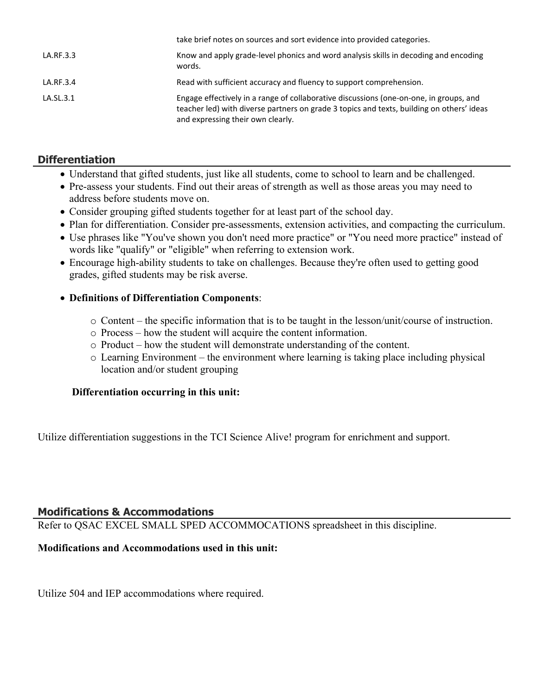|           | take brief notes on sources and sort evidence into provided categories.                                                                                                                                                  |
|-----------|--------------------------------------------------------------------------------------------------------------------------------------------------------------------------------------------------------------------------|
| LA.RF.3.3 | Know and apply grade-level phonics and word analysis skills in decoding and encoding<br>words.                                                                                                                           |
| LA.RF.3.4 | Read with sufficient accuracy and fluency to support comprehension.                                                                                                                                                      |
| LA.SL.3.1 | Engage effectively in a range of collaborative discussions (one-on-one, in groups, and<br>teacher led) with diverse partners on grade 3 topics and texts, building on others' ideas<br>and expressing their own clearly. |

# **Differentiation**

- Understand that gifted students, just like all students, come to school to learn and be challenged.
- Pre-assess your students. Find out their areas of strength as well as those areas you may need to address before students move on.
- Consider grouping gifted students together for at least part of the school day.
- Plan for differentiation. Consider pre-assessments, extension activities, and compacting the curriculum.
- Use phrases like "You've shown you don't need more practice" or "You need more practice" instead of words like "qualify" or "eligible" when referring to extension work.
- Encourage high-ability students to take on challenges. Because they're often used to getting good grades, gifted students may be risk averse.

# **Definitions of Differentiation Components**:

- $\circ$  Content the specific information that is to be taught in the lesson/unit/course of instruction.
- o Process how the student will acquire the content information.
- o Product how the student will demonstrate understanding of the content.
- o Learning Environment the environment where learning is taking place including physical location and/or student grouping

# **Differentiation occurring in this unit:**

Utilize differentiation suggestions in the TCI Science Alive! program for enrichment and support.

### **Modifications & Accommodations**

Refer to QSAC EXCEL SMALL SPED ACCOMMOCATIONS spreadsheet in this discipline.

# **Modifications and Accommodations used in this unit:**

Utilize 504 and IEP accommodations where required.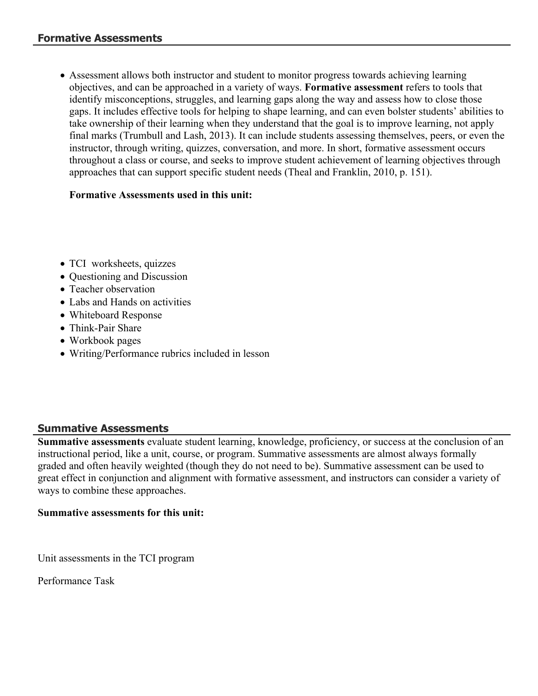Assessment allows both instructor and student to monitor progress towards achieving learning objectives, and can be approached in a variety of ways. **Formative assessment** refers to tools that identify misconceptions, struggles, and learning gaps along the way and assess how to close those gaps. It includes effective tools for helping to shape learning, and can even bolster students' abilities to take ownership of their learning when they understand that the goal is to improve learning, not apply final marks (Trumbull and Lash, 2013). It can include students assessing themselves, peers, or even the instructor, through writing, quizzes, conversation, and more. In short, formative assessment occurs throughout a class or course, and seeks to improve student achievement of learning objectives through approaches that can support specific student needs (Theal and Franklin, 2010, p. 151).

# **Formative Assessments used in this unit:**

- TCI worksheets, quizzes
- Questioning and Discussion
- Teacher observation
- Labs and Hands on activities
- Whiteboard Response
- Think-Pair Share
- Workbook pages
- Writing/Performance rubrics included in lesson

# **Summative Assessments**

**Summative assessments** evaluate student learning, knowledge, proficiency, or success at the conclusion of an instructional period, like a unit, course, or program. Summative assessments are almost always formally graded and often heavily weighted (though they do not need to be). Summative assessment can be used to great effect in conjunction and alignment with formative assessment, and instructors can consider a variety of ways to combine these approaches.

### **Summative assessments for this unit:**

Unit assessments in the TCI program

Performance Task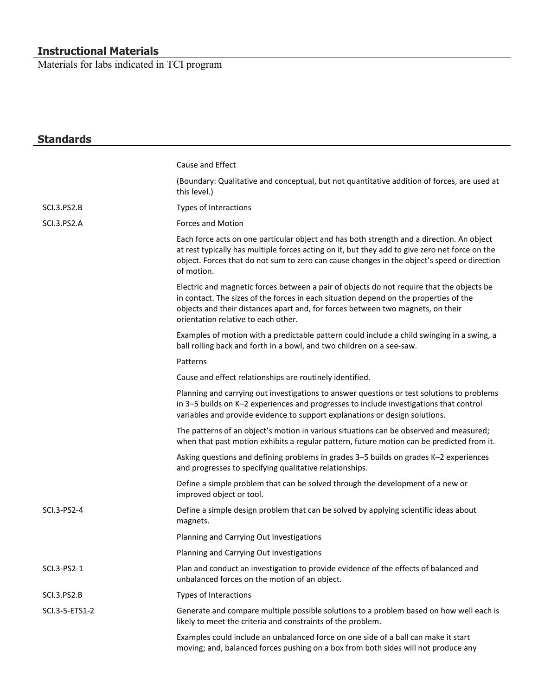### **Instructional Materials**

Materials for labs indicated in TCI program

| <b>Standards</b>   |                                                                                                                                                                                                                                                                                                              |
|--------------------|--------------------------------------------------------------------------------------------------------------------------------------------------------------------------------------------------------------------------------------------------------------------------------------------------------------|
|                    | Cause and Effect                                                                                                                                                                                                                                                                                             |
|                    | (Boundary: Qualitative and conceptual, but not quantitative addition of forces, are used at<br>this level.)                                                                                                                                                                                                  |
| <b>SCI.3.PS2.B</b> | Types of Interactions                                                                                                                                                                                                                                                                                        |
| SCI.3.PS2.A        | <b>Forces and Motion</b>                                                                                                                                                                                                                                                                                     |
|                    | Each force acts on one particular object and has both strength and a direction. An object<br>at rest typically has multiple forces acting on it, but they add to give zero net force on the<br>object. Forces that do not sum to zero can cause changes in the object's speed or direction<br>of motion.     |
|                    | Electric and magnetic forces between a pair of objects do not require that the objects be<br>in contact. The sizes of the forces in each situation depend on the properties of the<br>objects and their distances apart and, for forces between two magnets, on their<br>orientation relative to each other. |
|                    | Examples of motion with a predictable pattern could include a child swinging in a swing, a<br>ball rolling back and forth in a bowl, and two children on a see-saw.                                                                                                                                          |
|                    | Patterns                                                                                                                                                                                                                                                                                                     |
|                    | Cause and effect relationships are routinely identified.                                                                                                                                                                                                                                                     |
|                    | Planning and carrying out investigations to answer questions or test solutions to problems<br>in 3-5 builds on K-2 experiences and progresses to include investigations that control<br>variables and provide evidence to support explanations or design solutions.                                          |
|                    | The patterns of an object's motion in various situations can be observed and measured;<br>when that past motion exhibits a regular pattern, future motion can be predicted from it.                                                                                                                          |
|                    | Asking questions and defining problems in grades 3-5 builds on grades K-2 experiences<br>and progresses to specifying qualitative relationships.                                                                                                                                                             |
|                    | Define a simple problem that can be solved through the development of a new or<br>improved object or tool.                                                                                                                                                                                                   |
| SCI.3-PS2-4        | Define a simple design problem that can be solved by applying scientific ideas about<br>magnets.                                                                                                                                                                                                             |
|                    | Planning and Carrying Out Investigations                                                                                                                                                                                                                                                                     |
|                    | Planning and Carrying Out Investigations                                                                                                                                                                                                                                                                     |
| SCI.3-PS2-1        | Plan and conduct an investigation to provide evidence of the effects of balanced and<br>unbalanced forces on the motion of an object.                                                                                                                                                                        |
| <b>SCI.3.PS2.B</b> | Types of Interactions                                                                                                                                                                                                                                                                                        |
| SCI.3-5-ETS1-2     | Generate and compare multiple possible solutions to a problem based on how well each is<br>likely to meet the criteria and constraints of the problem.                                                                                                                                                       |
|                    | Examples could include an unbalanced force on one side of a ball can make it start<br>moving; and, balanced forces pushing on a box from both sides will not produce any                                                                                                                                     |